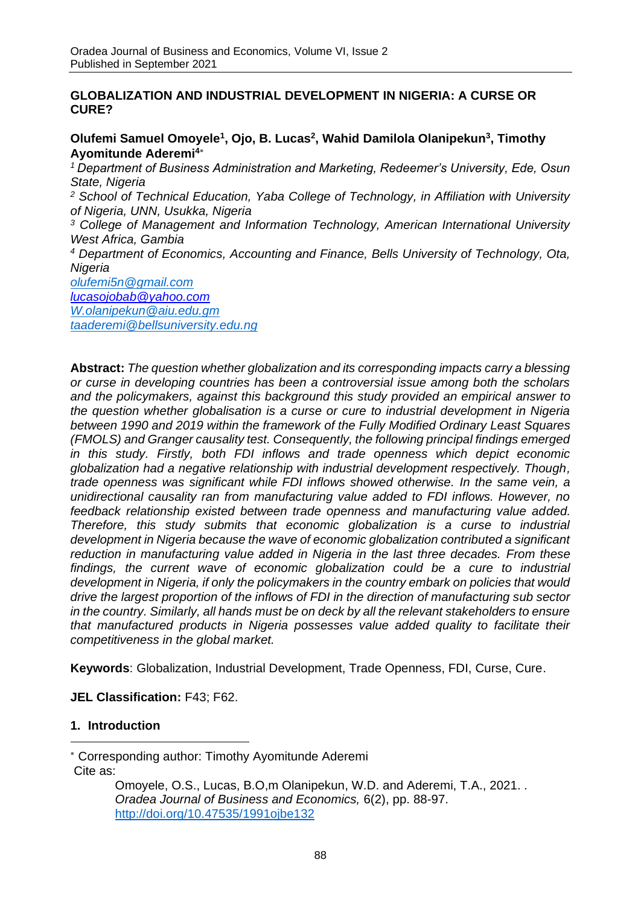## **GLOBALIZATION AND INDUSTRIAL DEVELOPMENT IN NIGERIA: A CURSE OR CURE?**

**Olufemi Samuel Omoyele<sup>1</sup> , Ojo, B. Lucas<sup>2</sup> , Wahid Damilola Olanipekun<sup>3</sup> , Timothy Ayomitunde Aderemi<sup>4</sup>**

*<sup>1</sup>Department of Business Administration and Marketing, Redeemer's University, Ede, Osun State, Nigeria*

*<sup>2</sup> School of Technical Education, Yaba College of Technology, in Affiliation with University of Nigeria, UNN, Usukka, Nigeria*

*<sup>3</sup> College of Management and Information Technology, American International University West Africa, Gambia* 

*<sup>4</sup> Department of Economics, Accounting and Finance, Bells University of Technology, Ota, Nigeria*

*[olufemi5n@gmail.com](mailto:olufemi5n@gmail.com) [lucasojobab@yahoo.com](mailto:lucasojobab@yahoo.com) [W.olanipekun@aiu.edu.gm](mailto:W.olanipekun@aiu.edu.gm) [taaderemi@bellsuniversity.edu.ng](mailto:taaderemi@bellsuniversity.edu.ng)*

**Abstract:** *The question whether globalization and its corresponding impacts carry a blessing or curse in developing countries has been a controversial issue among both the scholars and the policymakers, against this background this study provided an empirical answer to the question whether globalisation is a curse or cure to industrial development in Nigeria between 1990 and 2019 within the framework of the Fully Modified Ordinary Least Squares (FMOLS) and Granger causality test. Consequently, the following principal findings emerged in this study. Firstly, both FDI inflows and trade openness which depict economic globalization had a negative relationship with industrial development respectively. Though, trade openness was significant while FDI inflows showed otherwise. In the same vein, a unidirectional causality ran from manufacturing value added to FDI inflows. However, no feedback relationship existed between trade openness and manufacturing value added. Therefore, this study submits that economic globalization is a curse to industrial development in Nigeria because the wave of economic globalization contributed a significant reduction in manufacturing value added in Nigeria in the last three decades. From these findings, the current wave of economic globalization could be a cure to industrial development in Nigeria, if only the policymakers in the country embark on policies that would drive the largest proportion of the inflows of FDI in the direction of manufacturing sub sector in the country. Similarly, all hands must be on deck by all the relevant stakeholders to ensure that manufactured products in Nigeria possesses value added quality to facilitate their competitiveness in the global market.* 

**Keywords**: Globalization, Industrial Development, Trade Openness, FDI, Curse, Cure.

**JEL Classification:** F43; F62.

# **1. Introduction**

Cite as:

Corresponding author: Timothy Ayomitunde Aderemi

Omoyele, O.S., Lucas, B.O,m Olanipekun, W.D. and Aderemi, T.A., 2021. *. Oradea Journal of Business and Economics,* 6(2), pp. 88-97. <http://doi.org/10.47535/1991ojbe132>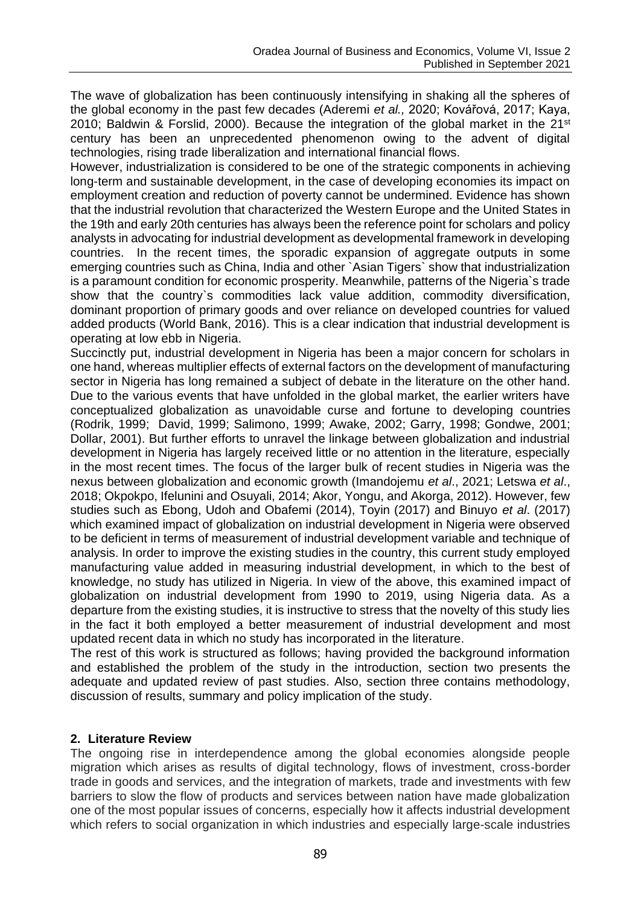The wave of globalization has been continuously intensifying in shaking all the spheres of the global economy in the past few decades (Aderemi *et al.,* 2020; Kovářová, 2017; Kaya, 2010; Baldwin & Forslid, 2000). Because the integration of the global market in the  $21^{st}$ century has been an unprecedented phenomenon owing to the advent of digital technologies, rising trade liberalization and international financial flows.

However, industrialization is considered to be one of the strategic components in achieving long-term and sustainable development, in the case of developing economies its impact on employment creation and reduction of poverty cannot be undermined. Evidence has shown that the industrial revolution that characterized the Western Europe and the United States in the 19th and early 20th centuries has always been the reference point for scholars and policy analysts in advocating for industrial development as developmental framework in developing countries. In the recent times, the sporadic expansion of aggregate outputs in some emerging countries such as China, India and other `Asian Tigers` show that industrialization is a paramount condition for economic prosperity. Meanwhile, patterns of the Nigeria`s trade show that the country`s commodities lack value addition, commodity diversification, dominant proportion of primary goods and over reliance on developed countries for valued added products (World Bank, 2016). This is a clear indication that industrial development is operating at low ebb in Nigeria.

Succinctly put, industrial development in Nigeria has been a major concern for scholars in one hand, whereas multiplier effects of external factors on the development of manufacturing sector in Nigeria has long remained a subject of debate in the literature on the other hand. Due to the various events that have unfolded in the global market, the earlier writers have conceptualized globalization as unavoidable curse and fortune to developing countries (Rodrik, 1999; David, 1999; Salimono, 1999; Awake, 2002; Garry, 1998; Gondwe, 2001; Dollar, 2001). But further efforts to unravel the linkage between globalization and industrial development in Nigeria has largely received little or no attention in the literature, especially in the most recent times. The focus of the larger bulk of recent studies in Nigeria was the nexus between globalization and economic growth (Imandojemu *et al*., 2021; Letswa *et al*., 2018; Okpokpo, Ifelunini and Osuyali, 2014; Akor, Yongu, and Akorga, 2012). However, few studies such as Ebong, Udoh and Obafemi (2014), Toyin (2017) and Binuyo *et al*. (2017) which examined impact of globalization on industrial development in Nigeria were observed to be deficient in terms of measurement of industrial development variable and technique of analysis. In order to improve the existing studies in the country, this current study employed manufacturing value added in measuring industrial development, in which to the best of knowledge, no study has utilized in Nigeria. In view of the above, this examined impact of globalization on industrial development from 1990 to 2019, using Nigeria data. As a departure from the existing studies, it is instructive to stress that the novelty of this study lies in the fact it both employed a better measurement of industrial development and most updated recent data in which no study has incorporated in the literature.

The rest of this work is structured as follows; having provided the background information and established the problem of the study in the introduction, section two presents the adequate and updated review of past studies. Also, section three contains methodology, discussion of results, summary and policy implication of the study.

# **2. Literature Review**

The ongoing rise in interdependence among the global economies alongside people migration which arises as results of digital technology, flows of investment, cross-border trade in goods and services, and the integration of markets, trade and investments with few barriers to slow the flow of products and services between nation have made globalization one of the most popular issues of concerns, especially how it affects industrial development which refers to social organization in which industries and especially large-scale industries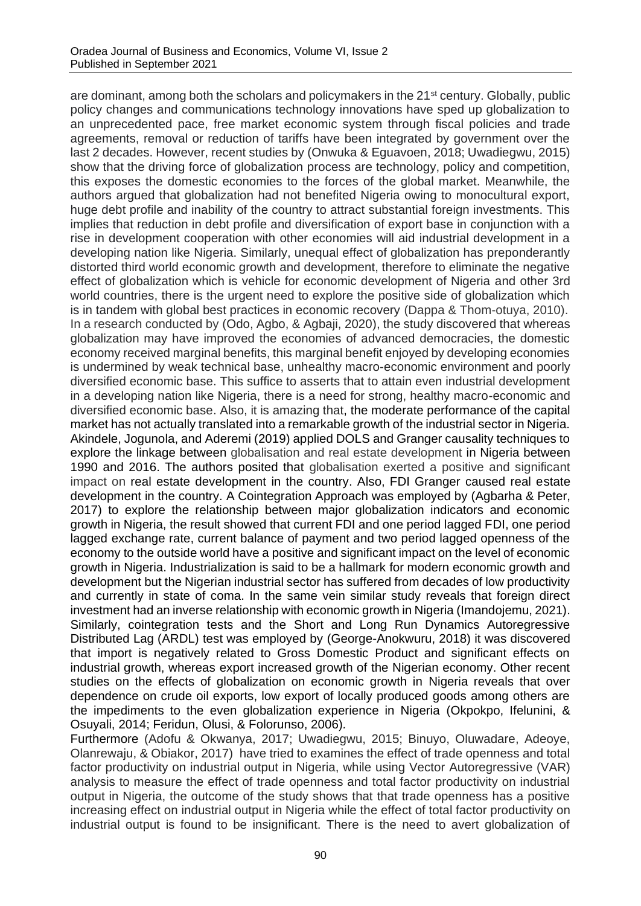are dominant, among both the scholars and policymakers in the 21<sup>st</sup> century. Globally, public policy changes and communications technology innovations have sped up globalization to an unprecedented pace, free market economic system through fiscal policies and trade agreements, removal or reduction of tariffs have been integrated by government over the last 2 decades. However, recent studies by (Onwuka & Eguavoen, 2018; Uwadiegwu, 2015) show that the driving force of globalization process are technology, policy and competition, this exposes the domestic economies to the forces of the global market. Meanwhile, the authors argued that globalization had not benefited Nigeria owing to monocultural export, huge debt profile and inability of the country to attract substantial foreign investments. This implies that reduction in debt profile and diversification of export base in conjunction with a rise in development cooperation with other economies will aid industrial development in a developing nation like Nigeria. Similarly, unequal effect of globalization has preponderantly distorted third world economic growth and development, therefore to eliminate the negative effect of globalization which is vehicle for economic development of Nigeria and other 3rd world countries, there is the urgent need to explore the positive side of globalization which is in tandem with global best practices in economic recovery (Dappa & Thom-otuya, 2010). In a research conducted by (Odo, Agbo, & Agbaji, 2020), the study discovered that whereas globalization may have improved the economies of advanced democracies, the domestic economy received marginal benefits, this marginal benefit enjoyed by developing economies is undermined by weak technical base, unhealthy macro-economic environment and poorly diversified economic base. This suffice to asserts that to attain even industrial development in a developing nation like Nigeria, there is a need for strong, healthy macro-economic and diversified economic base. Also, it is amazing that, the moderate performance of the capital market has not actually translated into a remarkable growth of the industrial sector in Nigeria. Akindele, Jogunola, and Aderemi (2019) applied DOLS and Granger causality techniques to explore the linkage between globalisation and real estate development in Nigeria between 1990 and 2016. The authors posited that globalisation exerted a positive and significant impact on real estate development in the country. Also, FDI Granger caused real estate development in the country. A Cointegration Approach was employed by (Agbarha & Peter, 2017) to explore the relationship between major globalization indicators and economic growth in Nigeria, the result showed that current FDI and one period lagged FDI, one period lagged exchange rate, current balance of payment and two period lagged openness of the economy to the outside world have a positive and significant impact on the level of economic growth in Nigeria. Industrialization is said to be a hallmark for modern economic growth and development but the Nigerian industrial sector has suffered from decades of low productivity and currently in state of coma. In the same vein similar study reveals that foreign direct investment had an inverse relationship with economic growth in Nigeria (Imandojemu, 2021). Similarly, cointegration tests and the Short and Long Run Dynamics Autoregressive Distributed Lag (ARDL) test was employed by (George-Anokwuru, 2018) it was discovered that import is negatively related to Gross Domestic Product and significant effects on industrial growth, whereas export increased growth of the Nigerian economy. Other recent studies on the effects of globalization on economic growth in Nigeria reveals that over dependence on crude oil exports, low export of locally produced goods among others are the impediments to the even globalization experience in Nigeria (Okpokpo, Ifelunini, & Osuyali, 2014; Feridun, Olusi, & Folorunso, 2006)*.*

Furthermore (Adofu & Okwanya, 2017; Uwadiegwu, 2015; Binuyo, Oluwadare, Adeoye, Olanrewaju, & Obiakor, 2017) have tried to examines the effect of trade openness and total factor productivity on industrial output in Nigeria, while using Vector Autoregressive (VAR) analysis to measure the effect of trade openness and total factor productivity on industrial output in Nigeria, the outcome of the study shows that that trade openness has a positive increasing effect on industrial output in Nigeria while the effect of total factor productivity on industrial output is found to be insignificant. There is the need to avert globalization of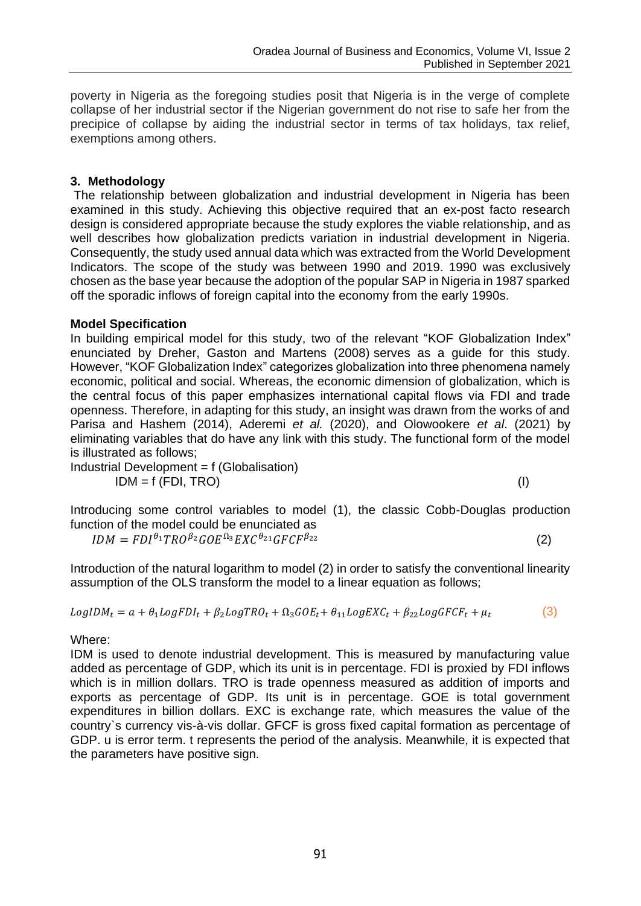poverty in Nigeria as the foregoing studies posit that Nigeria is in the verge of complete collapse of her industrial sector if the Nigerian government do not rise to safe her from the precipice of collapse by aiding the industrial sector in terms of tax holidays, tax relief, exemptions among others.

## **3. Methodology**

The relationship between globalization and industrial development in Nigeria has been examined in this study. Achieving this objective required that an ex-post facto research design is considered appropriate because the study explores the viable relationship, and as well describes how globalization predicts variation in industrial development in Nigeria. Consequently, the study used annual data which was extracted from the World Development Indicators. The scope of the study was between 1990 and 2019. 1990 was exclusively chosen as the base year because the adoption of the popular SAP in Nigeria in 1987 sparked off the sporadic inflows of foreign capital into the economy from the early 1990s.

## **Model Specification**

In building empirical model for this study, two of the relevant ["KOF Globalization Index"](https://www.kof.ethz.ch/en/forecasts-and-indicators/indicators/kof-globalisation-index.html) enunciated by Dreher, Gaston and Martens (2008) serves as a guide for this study. However, ["KOF Globalization Index"](https://www.kof.ethz.ch/en/forecasts-and-indicators/indicators/kof-globalisation-index.html) categorizes globalization into three phenomena namely economic, political and social. Whereas, the economic dimension of globalization, which is the central focus of this paper emphasizes international capital flows via FDI and trade openness. Therefore, in adapting for this study, an insight was drawn from the works of and Parisa and Hashem (2014), Aderemi *et al.* (2020), and Olowookere *et al*. (2021) by eliminating variables that do have any link with this study. The functional form of the model is illustrated as follows;

Industrial Development = f (Globalisation)  $IDM = f (FDI, TRO)$  (I)

Introducing some control variables to model (1), the classic Cobb-Douglas production function of the model could be enunciated as

 $IDM = FDI^{\theta_1}TRO^{\beta_2}GOE^{\Omega_3}EXC^{\theta_{21}}GFCF^{\beta_{22}}$  (2)

Introduction of the natural logarithm to model (2) in order to satisfy the conventional linearity assumption of the OLS transform the model to a linear equation as follows;

$$
LogIDM_t = a + \theta_1 LogFDI_t + \beta_2 LogTRO_t + \Omega_3 GOE_t + \theta_{11} LogEXC_t + \beta_{22} LogGFCF_t + \mu_t
$$
\n(3)

Where:

IDM is used to denote industrial development. This is measured by manufacturing value added as percentage of GDP, which its unit is in percentage. FDI is proxied by FDI inflows which is in million dollars. TRO is trade openness measured as addition of imports and exports as percentage of GDP. Its unit is in percentage. GOE is total government expenditures in billion dollars. EXC is exchange rate, which measures the value of the country`s currency vis-à-vis dollar. GFCF is gross fixed capital formation as percentage of GDP. u is error term. t represents the period of the analysis. Meanwhile, it is expected that the parameters have positive sign.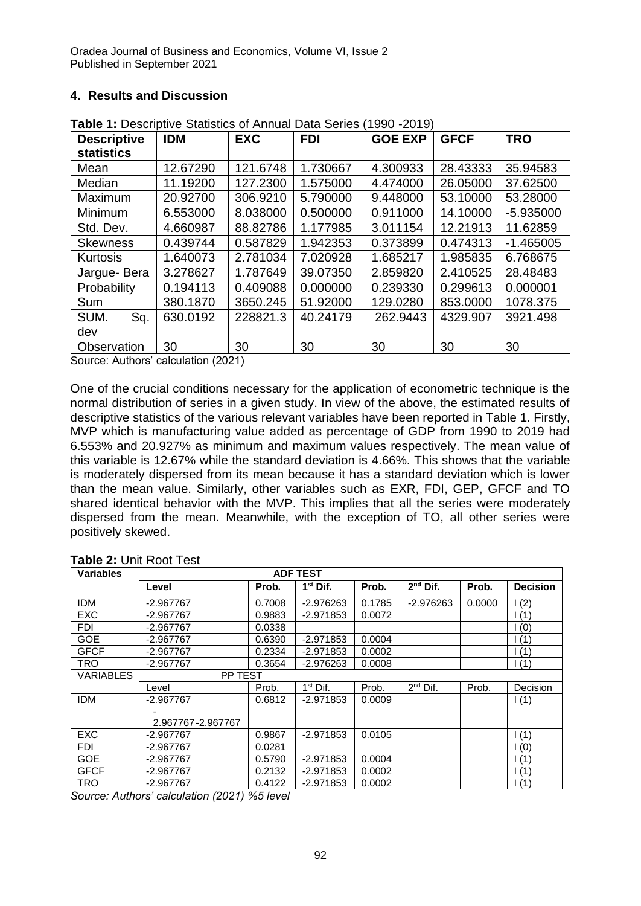# **4. Results and Discussion**

| <b>Descriptive</b> | <b>IDM</b> | <b>EXC</b> | <b>FDI</b> | <b>GOE EXP</b> | <b>GFCF</b> | <b>TRO</b>  |
|--------------------|------------|------------|------------|----------------|-------------|-------------|
| <b>statistics</b>  |            |            |            |                |             |             |
| Mean               | 12.67290   | 121.6748   | 1.730667   | 4.300933       | 28.43333    | 35.94583    |
| Median             | 11.19200   | 127.2300   | 1.575000   | 4.474000       | 26.05000    | 37.62500    |
| Maximum            | 20.92700   | 306.9210   | 5.790000   | 9.448000       | 53.10000    | 53.28000    |
| Minimum            | 6.553000   | 8.038000   | 0.500000   | 0.911000       | 14.10000    | $-5.935000$ |
| Std. Dev.          | 4.660987   | 88.82786   | 1.177985   | 3.011154       | 12.21913    | 11.62859    |
| <b>Skewness</b>    | 0.439744   | 0.587829   | 1.942353   | 0.373899       | 0.474313    | $-1.465005$ |
| Kurtosis           | 1.640073   | 2.781034   | 7.020928   | 1.685217       | 1.985835    | 6.768675    |
| Jargue- Bera       | 3.278627   | 1.787649   | 39.07350   | 2.859820       | 2.410525    | 28.48483    |
| Probability        | 0.194113   | 0.409088   | 0.000000   | 0.239330       | 0.299613    | 0.000001    |
| Sum                | 380.1870   | 3650.245   | 51.92000   | 129.0280       | 853.0000    | 1078.375    |
| SUM.<br>Sq.        | 630.0192   | 228821.3   | 40.24179   | 262.9443       | 4329.907    | 3921.498    |
| dev                |            |            |            |                |             |             |
| Observation        | 30         | 30         | 30         | 30             | 30          | 30          |

**Table 1:** Descriptive Statistics of Annual Data Series (1990 -2019)

Source: Authors' calculation (2021)

One of the crucial conditions necessary for the application of econometric technique is the normal distribution of series in a given study. In view of the above, the estimated results of descriptive statistics of the various relevant variables have been reported in Table 1. Firstly, MVP which is manufacturing value added as percentage of GDP from 1990 to 2019 had 6.553% and 20.927% as minimum and maximum values respectively. The mean value of this variable is 12.67% while the standard deviation is 4.66%. This shows that the variable is moderately dispersed from its mean because it has a standard deviation which is lower than the mean value. Similarly, other variables such as EXR, FDI, GEP, GFCF and TO shared identical behavior with the MVP. This implies that all the series were moderately dispersed from the mean. Meanwhile, with the exception of TO, all other series were positively skewed.

| <b>Variables</b> | <b>ADF TEST</b>   |        |                      |        |               |        |                    |
|------------------|-------------------|--------|----------------------|--------|---------------|--------|--------------------|
|                  | Level             | Prob.  | 1 <sup>st</sup> Dif. | Prob.  | $2nd$ Dif.    | Prob.  | <b>Decision</b>    |
| IDM              | $-2.967767$       | 0.7008 | $-2.976263$          | 0.1785 | $-2.976263$   | 0.0000 | $\frac{1(2)}{2}$   |
| <b>EXC</b>       | $-2.967767$       | 0.9883 | $-2.971853$          | 0.0072 |               |        | 1(1)               |
| <b>FDI</b>       | $-2.967767$       | 0.0338 |                      |        |               |        | (0)                |
| <b>GOE</b>       | $-2.967767$       | 0.6390 | $-2.971853$          | 0.0004 |               |        | $\left( 1 \right)$ |
| <b>GFCF</b>      | $-2.967767$       | 0.2334 | $-2.971853$          | 0.0002 |               |        | $\left( 1 \right)$ |
| <b>TRO</b>       | $-2.967767$       | 0.3654 | $-2.976263$          | 0.0008 |               |        | 1(1)               |
| <b>VARIABLES</b> | PP TEST           |        |                      |        |               |        |                    |
|                  | Level             | Prob.  | $1st$ Dif.           | Prob.  | $2^{nd}$ Dif. | Prob.  | Decision           |
| <b>IDM</b>       | $-2.967767$       | 0.6812 | $-2.971853$          | 0.0009 |               |        | 1(1)               |
|                  |                   |        |                      |        |               |        |                    |
|                  | 2.967767-2.967767 |        |                      |        |               |        |                    |
| <b>EXC</b>       | $-2.967767$       | 0.9867 | $-2.971853$          | 0.0105 |               |        | 1(1)               |
| <b>FDI</b>       | $-2.967767$       | 0.0281 |                      |        |               |        | $\overline{(0)}$   |
| <b>GOE</b>       | $-2.967767$       | 0.5790 | $-2.971853$          | 0.0004 |               |        | $\left( 1 \right)$ |
| <b>GFCF</b>      | $-2.967767$       | 0.2132 | $-2.971853$          | 0.0002 |               |        | $\left( 1 \right)$ |
| <b>TRO</b>       | $-2.967767$       | 0.4122 | $-2.971853$          | 0.0002 |               |        | 1(1)               |

#### **Table 2:** Unit Root Test

*Source: Authors' calculation (2021) %5 level*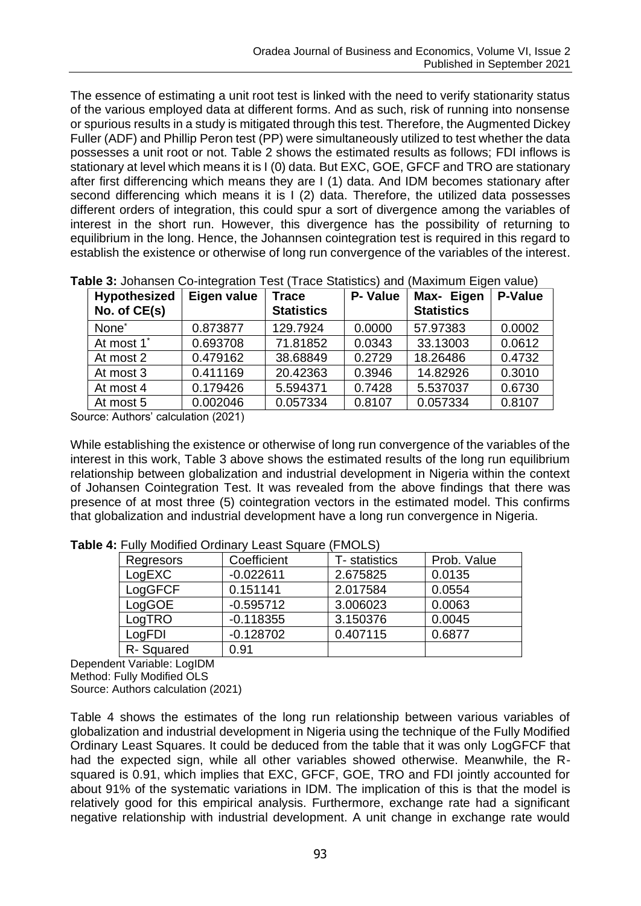The essence of estimating a unit root test is linked with the need to verify stationarity status of the various employed data at different forms. And as such, risk of running into nonsense or spurious results in a study is mitigated through this test. Therefore, the Augmented Dickey Fuller (ADF) and Phillip Peron test (PP) were simultaneously utilized to test whether the data possesses a unit root or not. Table 2 shows the estimated results as follows; FDI inflows is stationary at level which means it is I (0) data. But EXC, GOE, GFCF and TRO are stationary after first differencing which means they are I (1) data. And IDM becomes stationary after second differencing which means it is I (2) data. Therefore, the utilized data possesses different orders of integration, this could spur a sort of divergence among the variables of interest in the short run. However, this divergence has the possibility of returning to equilibrium in the long. Hence, the Johannsen cointegration test is required in this regard to establish the existence or otherwise of long run convergence of the variables of the interest.

| <b>Hypothesized</b>    | Eigen value | <b>Trace</b>      | P- Value | Max- Eigen        | P-Value |
|------------------------|-------------|-------------------|----------|-------------------|---------|
| No. of CE(s)           |             | <b>Statistics</b> |          | <b>Statistics</b> |         |
| None <sup>*</sup>      | 0.873877    | 129.7924          | 0.0000   | 57.97383          | 0.0002  |
| At most 1 <sup>*</sup> | 0.693708    | 71.81852          | 0.0343   | 33.13003          | 0.0612  |
| At most 2              | 0.479162    | 38.68849          | 0.2729   | 18.26486          | 0.4732  |
| At most 3              | 0.411169    | 20.42363          | 0.3946   | 14.82926          | 0.3010  |
| At most 4              | 0.179426    | 5.594371          | 0.7428   | 5.537037          | 0.6730  |
| At most 5              | 0.002046    | 0.057334          | 0.8107   | 0.057334          | 0.8107  |

**Table 3:** Johansen Co-integration Test (Trace Statistics) and (Maximum Eigen value)

Source: Authors' calculation (2021)

While establishing the existence or otherwise of long run convergence of the variables of the interest in this work, Table 3 above shows the estimated results of the long run equilibrium relationship between globalization and industrial development in Nigeria within the context of Johansen Cointegration Test. It was revealed from the above findings that there was presence of at most three (5) cointegration vectors in the estimated model. This confirms that globalization and industrial development have a long run convergence in Nigeria.

| Regresors | Coefficient | T- statistics | Prob. Value |
|-----------|-------------|---------------|-------------|
| LogEXC    | $-0.022611$ | 2.675825      | 0.0135      |
| LogGFCF   | 0.151141    | 2.017584      | 0.0554      |
| LogGOE    | $-0.595712$ | 3.006023      | 0.0063      |
| LogTRO    | $-0.118355$ | 3.150376      | 0.0045      |
| LogFDI    | $-0.128702$ | 0.407115      | 0.6877      |
| R-Squared | 0.91        |               |             |

**Table 4:** Fully Modified Ordinary Least Square (FMOLS)

Dependent Variable: LogIDM Method: Fully Modified OLS Source: Authors calculation (2021)

Table 4 shows the estimates of the long run relationship between various variables of globalization and industrial development in Nigeria using the technique of the Fully Modified Ordinary Least Squares. It could be deduced from the table that it was only LogGFCF that had the expected sign, while all other variables showed otherwise. Meanwhile, the Rsquared is 0.91, which implies that EXC, GFCF, GOE, TRO and FDI jointly accounted for about 91% of the systematic variations in IDM. The implication of this is that the model is relatively good for this empirical analysis. Furthermore, exchange rate had a significant negative relationship with industrial development. A unit change in exchange rate would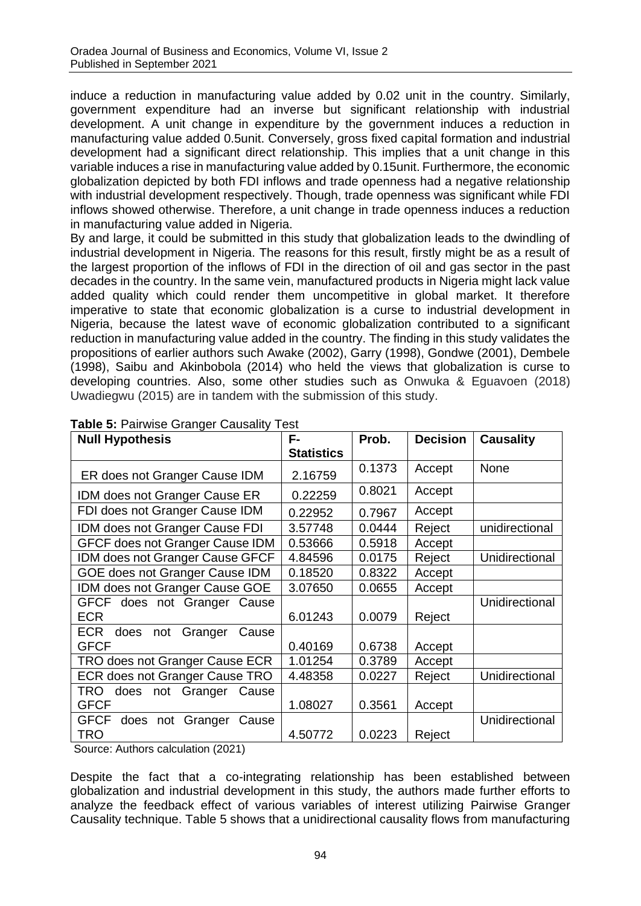induce a reduction in manufacturing value added by 0.02 unit in the country. Similarly, government expenditure had an inverse but significant relationship with industrial development. A unit change in expenditure by the government induces a reduction in manufacturing value added 0.5unit. Conversely, gross fixed capital formation and industrial development had a significant direct relationship. This implies that a unit change in this variable induces a rise in manufacturing value added by 0.15unit. Furthermore, the economic globalization depicted by both FDI inflows and trade openness had a negative relationship with industrial development respectively. Though, trade openness was significant while FDI inflows showed otherwise. Therefore, a unit change in trade openness induces a reduction in manufacturing value added in Nigeria.

By and large, it could be submitted in this study that globalization leads to the dwindling of industrial development in Nigeria. The reasons for this result, firstly might be as a result of the largest proportion of the inflows of FDI in the direction of oil and gas sector in the past decades in the country. In the same vein, manufactured products in Nigeria might lack value added quality which could render them uncompetitive in global market. It therefore imperative to state that economic globalization is a curse to industrial development in Nigeria, because the latest wave of economic globalization contributed to a significant reduction in manufacturing value added in the country. The finding in this study validates the propositions of earlier authors such Awake (2002), Garry (1998), Gondwe (2001), Dembele (1998), Saibu and Akinbobola (2014) who held the views that globalization is curse to developing countries. Also, some other studies such as Onwuka & Eguavoen (2018) Uwadiegwu (2015) are in tandem with the submission of this study.

| <b>Null Hypothesis</b>                   | F-                | Prob.  | <b>Decision</b> | <b>Causality</b> |
|------------------------------------------|-------------------|--------|-----------------|------------------|
|                                          | <b>Statistics</b> |        |                 |                  |
| ER does not Granger Cause IDM            | 2.16759           | 0.1373 | Accept          | None             |
| IDM does not Granger Cause ER            | 0.22259           | 0.8021 | Accept          |                  |
| FDI does not Granger Cause IDM           | 0.22952           | 0.7967 | Accept          |                  |
| IDM does not Granger Cause FDI           | 3.57748           | 0.0444 | Reject          | unidirectional   |
| GFCF does not Granger Cause IDM          | 0.53666           | 0.5918 | Accept          |                  |
| IDM does not Granger Cause GFCF          | 4.84596           | 0.0175 | Reject          | Unidirectional   |
| GOE does not Granger Cause IDM           | 0.18520           | 0.8322 | Accept          |                  |
| IDM does not Granger Cause GOE           | 3.07650           | 0.0655 | Accept          |                  |
| GFCF does not Granger Cause              |                   |        |                 | Unidirectional   |
| <b>ECR</b>                               | 6.01243           | 0.0079 | Reject          |                  |
| ECR<br>does<br>Granger<br>not<br>Cause   |                   |        |                 |                  |
| <b>GFCF</b>                              | 0.40169           | 0.6738 | Accept          |                  |
| TRO does not Granger Cause ECR           | 1.01254           | 0.3789 | Accept          |                  |
| ECR does not Granger Cause TRO           | 4.48358           | 0.0227 | Reject          | Unidirectional   |
| <b>TRO</b><br>does not Granger Cause     |                   |        |                 |                  |
| <b>GFCF</b>                              | 1.08027           | 0.3561 | Accept          |                  |
| <b>GFCF</b><br>does not Granger<br>Cause |                   |        |                 | Unidirectional   |
| TRO                                      | 4.50772           | 0.0223 | Reject          |                  |

## **Table 5:** Pairwise Granger Causality Test

Source: Authors calculation (2021)

Despite the fact that a co-integrating relationship has been established between globalization and industrial development in this study, the authors made further efforts to analyze the feedback effect of various variables of interest utilizing Pairwise Granger Causality technique. Table 5 shows that a unidirectional causality flows from manufacturing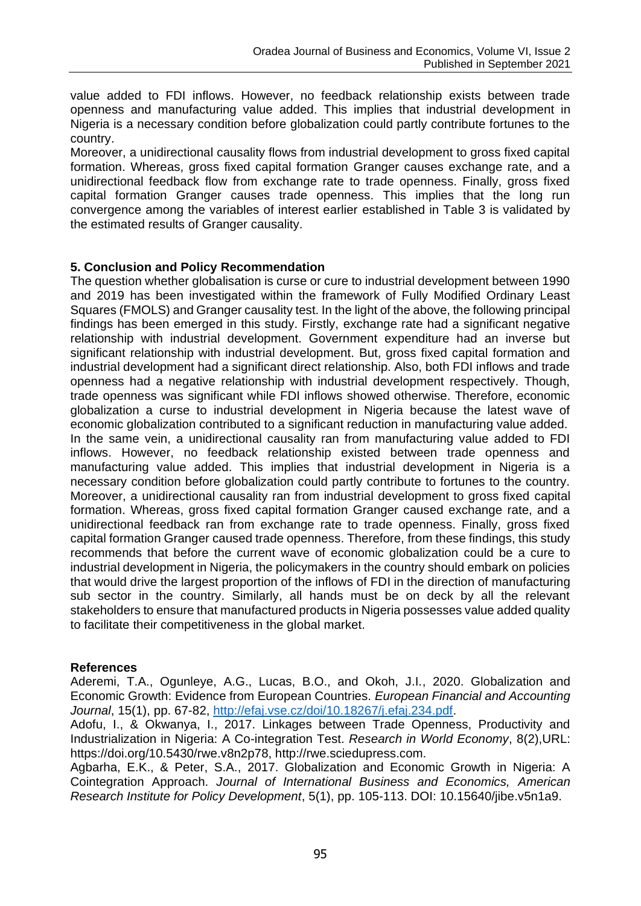value added to FDI inflows. However, no feedback relationship exists between trade openness and manufacturing value added. This implies that industrial development in Nigeria is a necessary condition before globalization could partly contribute fortunes to the country.

Moreover, a unidirectional causality flows from industrial development to gross fixed capital formation. Whereas, gross fixed capital formation Granger causes exchange rate, and a unidirectional feedback flow from exchange rate to trade openness. Finally, gross fixed capital formation Granger causes trade openness. This implies that the long run convergence among the variables of interest earlier established in Table 3 is validated by the estimated results of Granger causality.

## **5. Conclusion and Policy Recommendation**

The question whether globalisation is curse or cure to industrial development between 1990 and 2019 has been investigated within the framework of Fully Modified Ordinary Least Squares (FMOLS) and Granger causality test. In the light of the above, the following principal findings has been emerged in this study. Firstly, exchange rate had a significant negative relationship with industrial development. Government expenditure had an inverse but significant relationship with industrial development. But, gross fixed capital formation and industrial development had a significant direct relationship. Also, both FDI inflows and trade openness had a negative relationship with industrial development respectively. Though, trade openness was significant while FDI inflows showed otherwise. Therefore, economic globalization a curse to industrial development in Nigeria because the latest wave of economic globalization contributed to a significant reduction in manufacturing value added. In the same vein, a unidirectional causality ran from manufacturing value added to FDI inflows. However, no feedback relationship existed between trade openness and manufacturing value added. This implies that industrial development in Nigeria is a necessary condition before globalization could partly contribute to fortunes to the country. Moreover, a unidirectional causality ran from industrial development to gross fixed capital formation. Whereas, gross fixed capital formation Granger caused exchange rate, and a unidirectional feedback ran from exchange rate to trade openness. Finally, gross fixed capital formation Granger caused trade openness. Therefore, from these findings, this study recommends that before the current wave of economic globalization could be a cure to industrial development in Nigeria, the policymakers in the country should embark on policies that would drive the largest proportion of the inflows of FDI in the direction of manufacturing sub sector in the country. Similarly, all hands must be on deck by all the relevant stakeholders to ensure that manufactured products in Nigeria possesses value added quality to facilitate their competitiveness in the global market.

#### **References**

Aderemi, T.A., Ogunleye, A.G., Lucas, B.O., and Okoh, J.I., 2020. Globalization and Economic Growth: Evidence from European Countries. *European Financial and Accounting Journal*, 15(1), pp. 67-82, [http://efaj.vse.cz/doi/10.18267/j.efaj.234.pdf.](http://efaj.vse.cz/doi/10.18267/j.efaj.234.pdf)

Adofu, I., & Okwanya, I., 2017. Linkages between Trade Openness, Productivity and Industrialization in Nigeria: A Co-integration Test. *Research in World Economy*, 8(2),URL: https://doi.org/10.5430/rwe.v8n2p78, http://rwe.sciedupress.com.

Agbarha, E.K., & Peter, S.A., 2017. Globalization and Economic Growth in Nigeria: A Cointegration Approach. *Journal of International Business and Economics, American Research Institute for Policy Development*, 5(1), pp. 105-113. DOI: 10.15640/jibe.v5n1a9.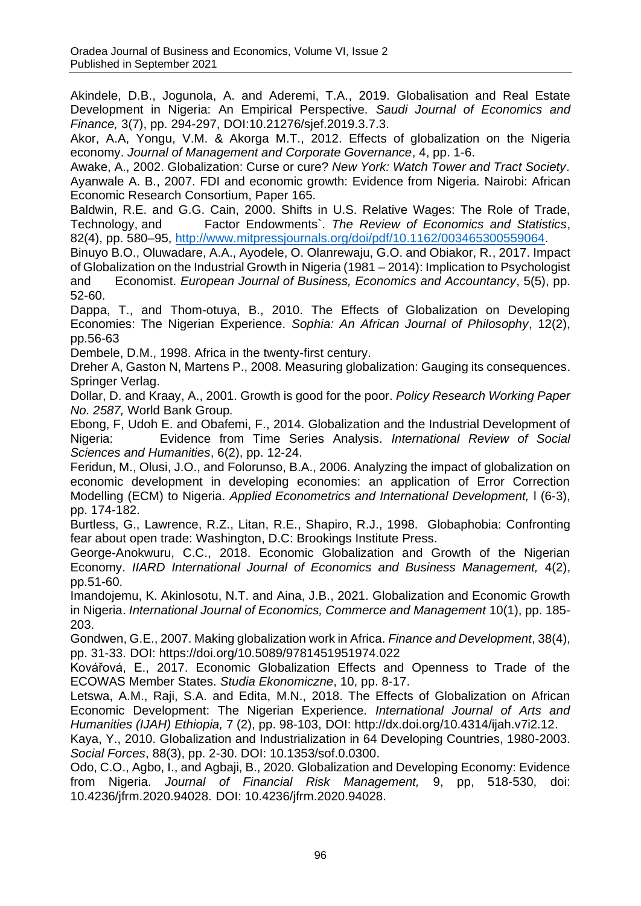Akindele, D.B., Jogunola, A. and Aderemi, T.A., 2019. Globalisation and Real Estate Development in Nigeria: An Empirical Perspective. *Saudi Journal of Economics and Finance,* 3(7), pp. 294-297, DOI:10.21276/sjef.2019.3.7.3.

Akor, A.A, Yongu, V.M. & Akorga M.T., 2012. Effects of globalization on the Nigeria economy. *Journal of Management and Corporate Governance*, 4, pp. 1-6.

Awake, A., 2002. Globalization: Curse or cure? *New York: Watch Tower and Tract Society*. Ayanwale A. B., 2007. FDI and economic growth: Evidence from Nigeria. Nairobi: African Economic Research Consortium, Paper 165.

Baldwin, R.E. and G.G. Cain, 2000. Shifts in U.S. Relative Wages: The Role of Trade, Technology, and Factor Endowments`. *The Review of Economics and Statistics*, 82(4), pp. 580–95, [http://www.mitpressjournals.org/doi/pdf/10.1162/003465300559064.](http://www.mitpressjournals.org/doi/pdf/10.1162/003465300559064)

Binuyo B.O., Oluwadare, A.A., Ayodele, O. Olanrewaju, G.O. and Obiakor, R., 2017. Impact of Globalization on the Industrial Growth in Nigeria (1981 – 2014): Implication to Psychologist and Economist. *European Journal of Business, Economics and Accountancy*, 5(5), pp. 52-60.

Dappa, T., and Thom-otuya, B., 2010. The Effects of Globalization on Developing Economies: The Nigerian Experience. *Sophia: An African Journal of Philosophy*, 12(2), pp.56-63

Dembele, D.M., 1998. Africa in the twenty-first century.

Dreher A, Gaston N, Martens P., 2008. Measuring globalization: Gauging its consequences. Springer Verlag.

Dollar, D. and Kraay, A., 2001. Growth is good for the poor. *Policy Research Working Paper No. 2587,* World Bank Group*.* 

Ebong, F, Udoh E. and Obafemi, F., 2014. Globalization and the Industrial Development of Nigeria: Evidence from Time Series Analysis. *International Review of Social Sciences and Humanities*, 6(2), pp. 12-24.

Feridun, M., Olusi, J.O., and Folorunso, B.A., 2006. Analyzing the impact of globalization on economic development in developing economies: an application of Error Correction Modelling (ECM) to Nigeria. *Applied Econometrics and International Development,* l (6-3), pp. 174-182.

Burtless, G., Lawrence, R.Z., Litan, R.E., Shapiro, R.J., 1998. Globaphobia: Confronting fear about open trade: Washington, D.C: Brookings Institute Press.

George-Anokwuru, C.C., 2018. Economic Globalization and Growth of the Nigerian Economy. *IIARD International Journal of Economics and Business Management,* 4(2), pp.51-60.

Imandojemu, K. Akinlosotu, N.T. and Aina, J.B., 2021. Globalization and Economic Growth in Nigeria. *International Journal of Economics, Commerce and Management* 10(1), pp. 185- 203.

Gondwen, G.E., 2007. Making globalization work in Africa. *Finance and Development*, 38(4), pp. 31-33. DOI: https://doi.org/10.5089/9781451951974.022

Kovářová, E., 2017. Economic Globalization Effects and Openness to Trade of the ECOWAS Member States. *Studia Ekonomiczne*, 10, pp. 8-17.

Letswa, A.M., Raji, S.A. and Edita, M.N., 2018. The Effects of Globalization on African Economic Development: The Nigerian Experience. *International Journal of Arts and Humanities (IJAH) Ethiopia,* 7 (2), pp. 98-103, DOI: http://dx.doi.org/10.4314/ijah.v7i2.12.

Kaya, Y., 2010. Globalization and Industrialization in 64 Developing Countries, 1980-2003. *Social Forces*, 88(3), pp. 2-30. DOI: 10.1353/sof.0.0300.

Odo, C.O., Agbo, I., and Agbaji, B., 2020. Globalization and Developing Economy: Evidence from Nigeria. *Journal of Financial Risk Management,* 9, pp, 518-530, doi: 10.4236/jfrm.2020.94028. DOI: 10.4236/jfrm.2020.94028.